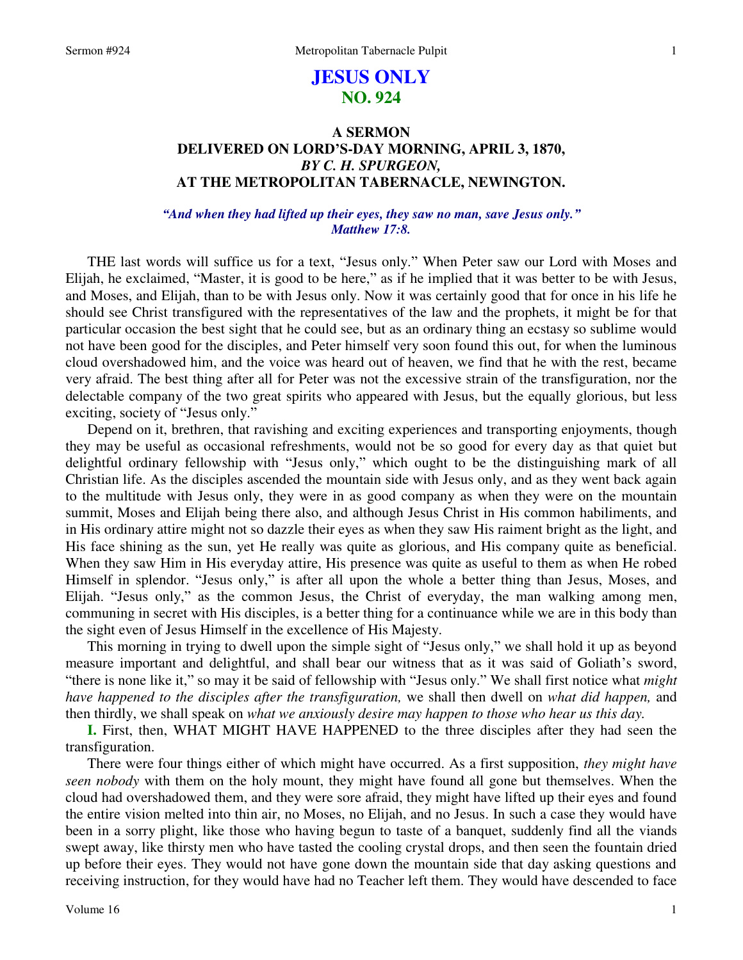# **JESUS ONLY NO. 924**

# **A SERMON DELIVERED ON LORD'S-DAY MORNING, APRIL 3, 1870,**  *BY C. H. SPURGEON,*  **AT THE METROPOLITAN TABERNACLE, NEWINGTON.**

# *"And when they had lifted up their eyes, they saw no man, save Jesus only." Matthew 17:8.*

THE last words will suffice us for a text, "Jesus only." When Peter saw our Lord with Moses and Elijah, he exclaimed, "Master, it is good to be here," as if he implied that it was better to be with Jesus, and Moses, and Elijah, than to be with Jesus only. Now it was certainly good that for once in his life he should see Christ transfigured with the representatives of the law and the prophets, it might be for that particular occasion the best sight that he could see, but as an ordinary thing an ecstasy so sublime would not have been good for the disciples, and Peter himself very soon found this out, for when the luminous cloud overshadowed him, and the voice was heard out of heaven, we find that he with the rest, became very afraid. The best thing after all for Peter was not the excessive strain of the transfiguration, nor the delectable company of the two great spirits who appeared with Jesus, but the equally glorious, but less exciting, society of "Jesus only."

Depend on it, brethren, that ravishing and exciting experiences and transporting enjoyments, though they may be useful as occasional refreshments, would not be so good for every day as that quiet but delightful ordinary fellowship with "Jesus only," which ought to be the distinguishing mark of all Christian life. As the disciples ascended the mountain side with Jesus only, and as they went back again to the multitude with Jesus only, they were in as good company as when they were on the mountain summit, Moses and Elijah being there also, and although Jesus Christ in His common habiliments, and in His ordinary attire might not so dazzle their eyes as when they saw His raiment bright as the light, and His face shining as the sun, yet He really was quite as glorious, and His company quite as beneficial. When they saw Him in His everyday attire, His presence was quite as useful to them as when He robed Himself in splendor. "Jesus only," is after all upon the whole a better thing than Jesus, Moses, and Elijah. "Jesus only," as the common Jesus, the Christ of everyday, the man walking among men, communing in secret with His disciples, is a better thing for a continuance while we are in this body than the sight even of Jesus Himself in the excellence of His Majesty.

This morning in trying to dwell upon the simple sight of "Jesus only," we shall hold it up as beyond measure important and delightful, and shall bear our witness that as it was said of Goliath's sword, "there is none like it," so may it be said of fellowship with "Jesus only." We shall first notice what *might have happened to the disciples after the transfiguration,* we shall then dwell on *what did happen,* and then thirdly, we shall speak on *what we anxiously desire may happen to those who hear us this day.*

**I.** First, then, WHAT MIGHT HAVE HAPPENED to the three disciples after they had seen the transfiguration.

There were four things either of which might have occurred. As a first supposition, *they might have seen nobody* with them on the holy mount, they might have found all gone but themselves. When the cloud had overshadowed them, and they were sore afraid, they might have lifted up their eyes and found the entire vision melted into thin air, no Moses, no Elijah, and no Jesus. In such a case they would have been in a sorry plight, like those who having begun to taste of a banquet, suddenly find all the viands swept away, like thirsty men who have tasted the cooling crystal drops, and then seen the fountain dried up before their eyes. They would not have gone down the mountain side that day asking questions and receiving instruction, for they would have had no Teacher left them. They would have descended to face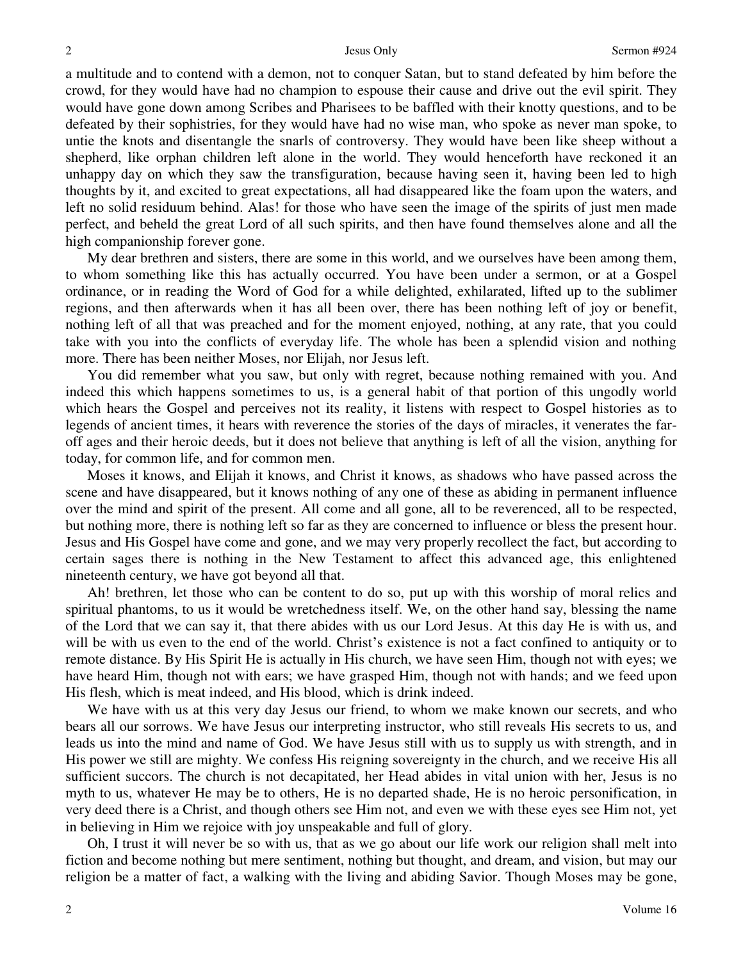a multitude and to contend with a demon, not to conquer Satan, but to stand defeated by him before the crowd, for they would have had no champion to espouse their cause and drive out the evil spirit. They would have gone down among Scribes and Pharisees to be baffled with their knotty questions, and to be defeated by their sophistries, for they would have had no wise man, who spoke as never man spoke, to untie the knots and disentangle the snarls of controversy. They would have been like sheep without a shepherd, like orphan children left alone in the world. They would henceforth have reckoned it an unhappy day on which they saw the transfiguration, because having seen it, having been led to high thoughts by it, and excited to great expectations, all had disappeared like the foam upon the waters, and left no solid residuum behind. Alas! for those who have seen the image of the spirits of just men made perfect, and beheld the great Lord of all such spirits, and then have found themselves alone and all the high companionship forever gone.

My dear brethren and sisters, there are some in this world, and we ourselves have been among them, to whom something like this has actually occurred. You have been under a sermon, or at a Gospel ordinance, or in reading the Word of God for a while delighted, exhilarated, lifted up to the sublimer regions, and then afterwards when it has all been over, there has been nothing left of joy or benefit, nothing left of all that was preached and for the moment enjoyed, nothing, at any rate, that you could take with you into the conflicts of everyday life. The whole has been a splendid vision and nothing more. There has been neither Moses, nor Elijah, nor Jesus left.

You did remember what you saw, but only with regret, because nothing remained with you. And indeed this which happens sometimes to us, is a general habit of that portion of this ungodly world which hears the Gospel and perceives not its reality, it listens with respect to Gospel histories as to legends of ancient times, it hears with reverence the stories of the days of miracles, it venerates the faroff ages and their heroic deeds, but it does not believe that anything is left of all the vision, anything for today, for common life, and for common men.

Moses it knows, and Elijah it knows, and Christ it knows, as shadows who have passed across the scene and have disappeared, but it knows nothing of any one of these as abiding in permanent influence over the mind and spirit of the present. All come and all gone, all to be reverenced, all to be respected, but nothing more, there is nothing left so far as they are concerned to influence or bless the present hour. Jesus and His Gospel have come and gone, and we may very properly recollect the fact, but according to certain sages there is nothing in the New Testament to affect this advanced age, this enlightened nineteenth century, we have got beyond all that.

Ah! brethren, let those who can be content to do so, put up with this worship of moral relics and spiritual phantoms, to us it would be wretchedness itself. We, on the other hand say, blessing the name of the Lord that we can say it, that there abides with us our Lord Jesus. At this day He is with us, and will be with us even to the end of the world. Christ's existence is not a fact confined to antiquity or to remote distance. By His Spirit He is actually in His church, we have seen Him, though not with eyes; we have heard Him, though not with ears; we have grasped Him, though not with hands; and we feed upon His flesh, which is meat indeed, and His blood, which is drink indeed.

We have with us at this very day Jesus our friend, to whom we make known our secrets, and who bears all our sorrows. We have Jesus our interpreting instructor, who still reveals His secrets to us, and leads us into the mind and name of God. We have Jesus still with us to supply us with strength, and in His power we still are mighty. We confess His reigning sovereignty in the church, and we receive His all sufficient succors. The church is not decapitated, her Head abides in vital union with her, Jesus is no myth to us, whatever He may be to others, He is no departed shade, He is no heroic personification, in very deed there is a Christ, and though others see Him not, and even we with these eyes see Him not, yet in believing in Him we rejoice with joy unspeakable and full of glory.

Oh, I trust it will never be so with us, that as we go about our life work our religion shall melt into fiction and become nothing but mere sentiment, nothing but thought, and dream, and vision, but may our religion be a matter of fact, a walking with the living and abiding Savior. Though Moses may be gone,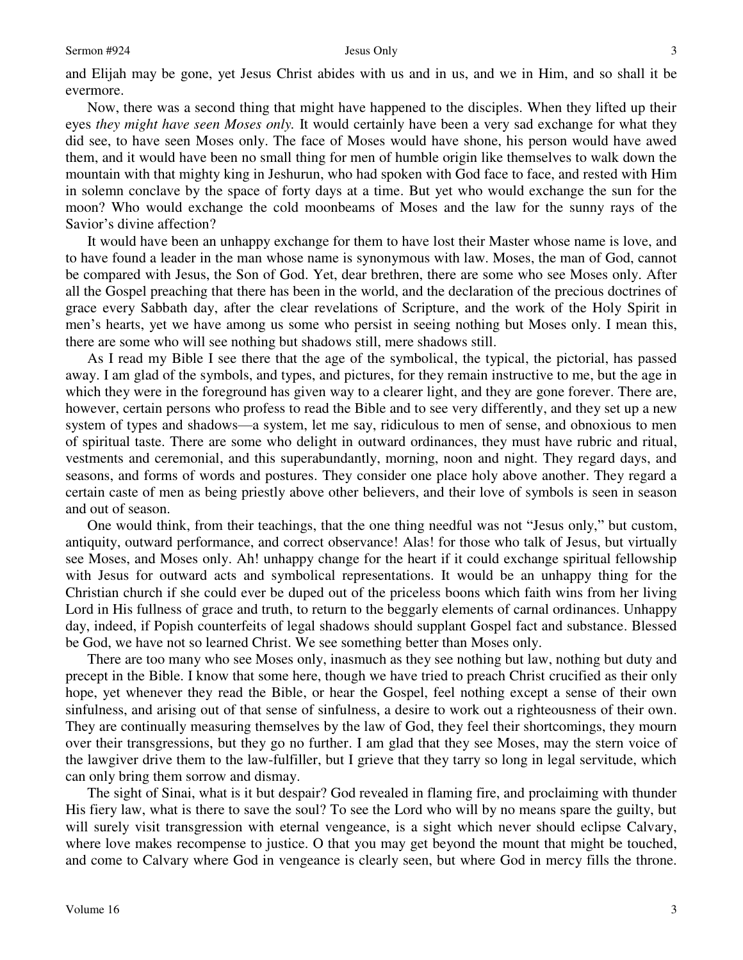### Sermon #924 Jesus Only

and Elijah may be gone, yet Jesus Christ abides with us and in us, and we in Him, and so shall it be evermore.

Now, there was a second thing that might have happened to the disciples. When they lifted up their eyes *they might have seen Moses only*. It would certainly have been a very sad exchange for what they did see, to have seen Moses only. The face of Moses would have shone, his person would have awed them, and it would have been no small thing for men of humble origin like themselves to walk down the mountain with that mighty king in Jeshurun, who had spoken with God face to face, and rested with Him in solemn conclave by the space of forty days at a time. But yet who would exchange the sun for the moon? Who would exchange the cold moonbeams of Moses and the law for the sunny rays of the Savior's divine affection?

It would have been an unhappy exchange for them to have lost their Master whose name is love, and to have found a leader in the man whose name is synonymous with law. Moses, the man of God, cannot be compared with Jesus, the Son of God. Yet, dear brethren, there are some who see Moses only. After all the Gospel preaching that there has been in the world, and the declaration of the precious doctrines of grace every Sabbath day, after the clear revelations of Scripture, and the work of the Holy Spirit in men's hearts, yet we have among us some who persist in seeing nothing but Moses only. I mean this, there are some who will see nothing but shadows still, mere shadows still.

As I read my Bible I see there that the age of the symbolical, the typical, the pictorial, has passed away. I am glad of the symbols, and types, and pictures, for they remain instructive to me, but the age in which they were in the foreground has given way to a clearer light, and they are gone forever. There are, however, certain persons who profess to read the Bible and to see very differently, and they set up a new system of types and shadows—a system, let me say, ridiculous to men of sense, and obnoxious to men of spiritual taste. There are some who delight in outward ordinances, they must have rubric and ritual, vestments and ceremonial, and this superabundantly, morning, noon and night. They regard days, and seasons, and forms of words and postures. They consider one place holy above another. They regard a certain caste of men as being priestly above other believers, and their love of symbols is seen in season and out of season.

One would think, from their teachings, that the one thing needful was not "Jesus only," but custom, antiquity, outward performance, and correct observance! Alas! for those who talk of Jesus, but virtually see Moses, and Moses only. Ah! unhappy change for the heart if it could exchange spiritual fellowship with Jesus for outward acts and symbolical representations. It would be an unhappy thing for the Christian church if she could ever be duped out of the priceless boons which faith wins from her living Lord in His fullness of grace and truth, to return to the beggarly elements of carnal ordinances. Unhappy day, indeed, if Popish counterfeits of legal shadows should supplant Gospel fact and substance. Blessed be God, we have not so learned Christ. We see something better than Moses only.

There are too many who see Moses only, inasmuch as they see nothing but law, nothing but duty and precept in the Bible. I know that some here, though we have tried to preach Christ crucified as their only hope, yet whenever they read the Bible, or hear the Gospel, feel nothing except a sense of their own sinfulness, and arising out of that sense of sinfulness, a desire to work out a righteousness of their own. They are continually measuring themselves by the law of God, they feel their shortcomings, they mourn over their transgressions, but they go no further. I am glad that they see Moses, may the stern voice of the lawgiver drive them to the law-fulfiller, but I grieve that they tarry so long in legal servitude, which can only bring them sorrow and dismay.

The sight of Sinai, what is it but despair? God revealed in flaming fire, and proclaiming with thunder His fiery law, what is there to save the soul? To see the Lord who will by no means spare the guilty, but will surely visit transgression with eternal vengeance, is a sight which never should eclipse Calvary, where love makes recompense to justice. O that you may get beyond the mount that might be touched, and come to Calvary where God in vengeance is clearly seen, but where God in mercy fills the throne.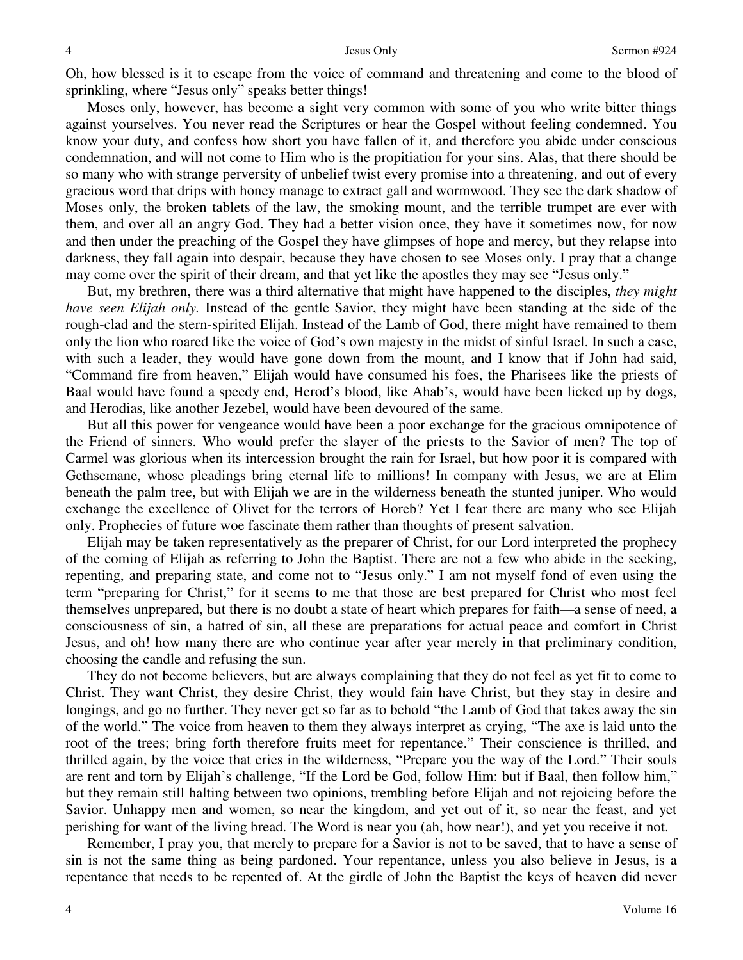Oh, how blessed is it to escape from the voice of command and threatening and come to the blood of sprinkling, where "Jesus only" speaks better things!

Moses only, however, has become a sight very common with some of you who write bitter things against yourselves. You never read the Scriptures or hear the Gospel without feeling condemned. You know your duty, and confess how short you have fallen of it, and therefore you abide under conscious condemnation, and will not come to Him who is the propitiation for your sins. Alas, that there should be so many who with strange perversity of unbelief twist every promise into a threatening, and out of every gracious word that drips with honey manage to extract gall and wormwood. They see the dark shadow of Moses only, the broken tablets of the law, the smoking mount, and the terrible trumpet are ever with them, and over all an angry God. They had a better vision once, they have it sometimes now, for now and then under the preaching of the Gospel they have glimpses of hope and mercy, but they relapse into darkness, they fall again into despair, because they have chosen to see Moses only. I pray that a change may come over the spirit of their dream, and that yet like the apostles they may see "Jesus only."

But, my brethren, there was a third alternative that might have happened to the disciples, *they might have seen Elijah only.* Instead of the gentle Savior, they might have been standing at the side of the rough-clad and the stern-spirited Elijah. Instead of the Lamb of God, there might have remained to them only the lion who roared like the voice of God's own majesty in the midst of sinful Israel. In such a case, with such a leader, they would have gone down from the mount, and I know that if John had said, "Command fire from heaven," Elijah would have consumed his foes, the Pharisees like the priests of Baal would have found a speedy end, Herod's blood, like Ahab's, would have been licked up by dogs, and Herodias, like another Jezebel, would have been devoured of the same.

But all this power for vengeance would have been a poor exchange for the gracious omnipotence of the Friend of sinners. Who would prefer the slayer of the priests to the Savior of men? The top of Carmel was glorious when its intercession brought the rain for Israel, but how poor it is compared with Gethsemane, whose pleadings bring eternal life to millions! In company with Jesus, we are at Elim beneath the palm tree, but with Elijah we are in the wilderness beneath the stunted juniper. Who would exchange the excellence of Olivet for the terrors of Horeb? Yet I fear there are many who see Elijah only. Prophecies of future woe fascinate them rather than thoughts of present salvation.

Elijah may be taken representatively as the preparer of Christ, for our Lord interpreted the prophecy of the coming of Elijah as referring to John the Baptist. There are not a few who abide in the seeking, repenting, and preparing state, and come not to "Jesus only." I am not myself fond of even using the term "preparing for Christ," for it seems to me that those are best prepared for Christ who most feel themselves unprepared, but there is no doubt a state of heart which prepares for faith—a sense of need, a consciousness of sin, a hatred of sin, all these are preparations for actual peace and comfort in Christ Jesus, and oh! how many there are who continue year after year merely in that preliminary condition, choosing the candle and refusing the sun.

They do not become believers, but are always complaining that they do not feel as yet fit to come to Christ. They want Christ, they desire Christ, they would fain have Christ, but they stay in desire and longings, and go no further. They never get so far as to behold "the Lamb of God that takes away the sin of the world." The voice from heaven to them they always interpret as crying, "The axe is laid unto the root of the trees; bring forth therefore fruits meet for repentance." Their conscience is thrilled, and thrilled again, by the voice that cries in the wilderness, "Prepare you the way of the Lord." Their souls are rent and torn by Elijah's challenge, "If the Lord be God, follow Him: but if Baal, then follow him," but they remain still halting between two opinions, trembling before Elijah and not rejoicing before the Savior. Unhappy men and women, so near the kingdom, and yet out of it, so near the feast, and yet perishing for want of the living bread. The Word is near you (ah, how near!), and yet you receive it not.

Remember, I pray you, that merely to prepare for a Savior is not to be saved, that to have a sense of sin is not the same thing as being pardoned. Your repentance, unless you also believe in Jesus, is a repentance that needs to be repented of. At the girdle of John the Baptist the keys of heaven did never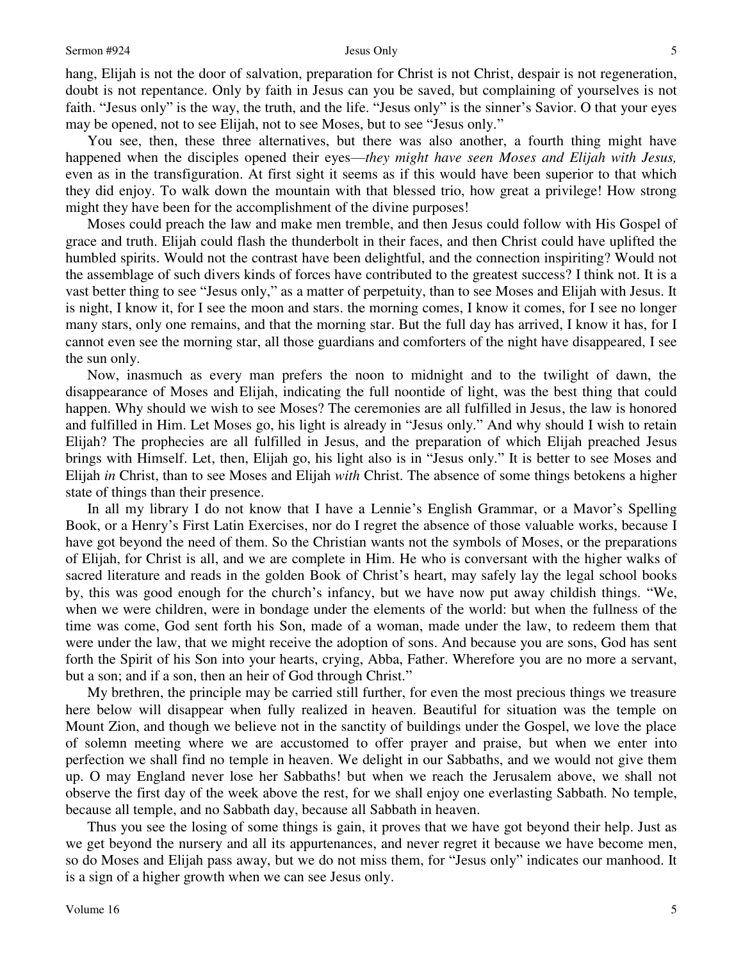hang, Elijah is not the door of salvation, preparation for Christ is not Christ, despair is not regeneration, doubt is not repentance. Only by faith in Jesus can you be saved, but complaining of yourselves is not faith. "Jesus only" is the way, the truth, and the life. "Jesus only" is the sinner's Savior. O that your eyes may be opened, not to see Elijah, not to see Moses, but to see "Jesus only."

You see, then, these three alternatives, but there was also another, a fourth thing might have happened when the disciples opened their eyes—*they might have seen Moses and Elijah with Jesus,* even as in the transfiguration. At first sight it seems as if this would have been superior to that which they did enjoy. To walk down the mountain with that blessed trio, how great a privilege! How strong might they have been for the accomplishment of the divine purposes!

Moses could preach the law and make men tremble, and then Jesus could follow with His Gospel of grace and truth. Elijah could flash the thunderbolt in their faces, and then Christ could have uplifted the humbled spirits. Would not the contrast have been delightful, and the connection inspiriting? Would not the assemblage of such divers kinds of forces have contributed to the greatest success? I think not. It is a vast better thing to see "Jesus only," as a matter of perpetuity, than to see Moses and Elijah with Jesus. It is night, I know it, for I see the moon and stars. the morning comes, I know it comes, for I see no longer many stars, only one remains, and that the morning star. But the full day has arrived, I know it has, for I cannot even see the morning star, all those guardians and comforters of the night have disappeared, I see the sun only.

Now, inasmuch as every man prefers the noon to midnight and to the twilight of dawn, the disappearance of Moses and Elijah, indicating the full noontide of light, was the best thing that could happen. Why should we wish to see Moses? The ceremonies are all fulfilled in Jesus, the law is honored and fulfilled in Him. Let Moses go, his light is already in "Jesus only." And why should I wish to retain Elijah? The prophecies are all fulfilled in Jesus, and the preparation of which Elijah preached Jesus brings with Himself. Let, then, Elijah go, his light also is in "Jesus only." It is better to see Moses and Elijah *in* Christ, than to see Moses and Elijah *with* Christ. The absence of some things betokens a higher state of things than their presence.

In all my library I do not know that I have a Lennie's English Grammar, or a Mavor's Spelling Book, or a Henry's First Latin Exercises, nor do I regret the absence of those valuable works, because I have got beyond the need of them. So the Christian wants not the symbols of Moses, or the preparations of Elijah, for Christ is all, and we are complete in Him. He who is conversant with the higher walks of sacred literature and reads in the golden Book of Christ's heart, may safely lay the legal school books by, this was good enough for the church's infancy, but we have now put away childish things. "We, when we were children, were in bondage under the elements of the world: but when the fullness of the time was come, God sent forth his Son, made of a woman, made under the law, to redeem them that were under the law, that we might receive the adoption of sons. And because you are sons, God has sent forth the Spirit of his Son into your hearts, crying, Abba, Father. Wherefore you are no more a servant, but a son; and if a son, then an heir of God through Christ."

My brethren, the principle may be carried still further, for even the most precious things we treasure here below will disappear when fully realized in heaven. Beautiful for situation was the temple on Mount Zion, and though we believe not in the sanctity of buildings under the Gospel, we love the place of solemn meeting where we are accustomed to offer prayer and praise, but when we enter into perfection we shall find no temple in heaven. We delight in our Sabbaths, and we would not give them up. O may England never lose her Sabbaths! but when we reach the Jerusalem above, we shall not observe the first day of the week above the rest, for we shall enjoy one everlasting Sabbath. No temple, because all temple, and no Sabbath day, because all Sabbath in heaven.

Thus you see the losing of some things is gain, it proves that we have got beyond their help. Just as we get beyond the nursery and all its appurtenances, and never regret it because we have become men, so do Moses and Elijah pass away, but we do not miss them, for "Jesus only" indicates our manhood. It is a sign of a higher growth when we can see Jesus only.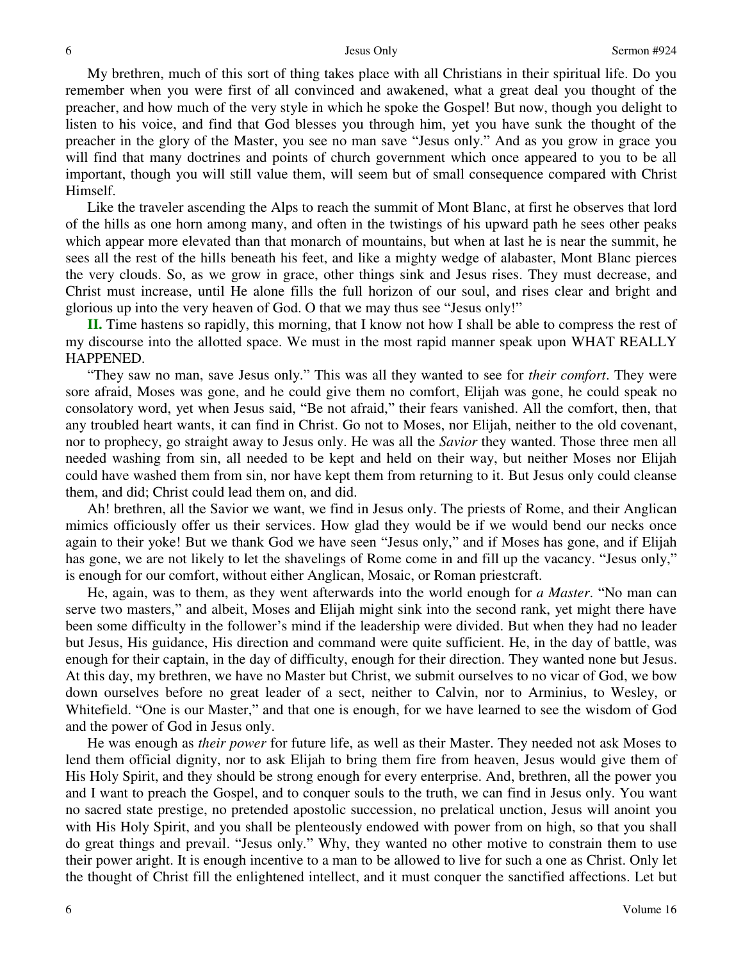My brethren, much of this sort of thing takes place with all Christians in their spiritual life. Do you remember when you were first of all convinced and awakened, what a great deal you thought of the preacher, and how much of the very style in which he spoke the Gospel! But now, though you delight to listen to his voice, and find that God blesses you through him, yet you have sunk the thought of the preacher in the glory of the Master, you see no man save "Jesus only." And as you grow in grace you will find that many doctrines and points of church government which once appeared to you to be all important, though you will still value them, will seem but of small consequence compared with Christ Himself.

Like the traveler ascending the Alps to reach the summit of Mont Blanc, at first he observes that lord of the hills as one horn among many, and often in the twistings of his upward path he sees other peaks which appear more elevated than that monarch of mountains, but when at last he is near the summit, he sees all the rest of the hills beneath his feet, and like a mighty wedge of alabaster, Mont Blanc pierces the very clouds. So, as we grow in grace, other things sink and Jesus rises. They must decrease, and Christ must increase, until He alone fills the full horizon of our soul, and rises clear and bright and glorious up into the very heaven of God. O that we may thus see "Jesus only!"

**II.** Time hastens so rapidly, this morning, that I know not how I shall be able to compress the rest of my discourse into the allotted space. We must in the most rapid manner speak upon WHAT REALLY HAPPENED.

"They saw no man, save Jesus only." This was all they wanted to see for *their comfort*. They were sore afraid, Moses was gone, and he could give them no comfort, Elijah was gone, he could speak no consolatory word, yet when Jesus said, "Be not afraid," their fears vanished. All the comfort, then, that any troubled heart wants, it can find in Christ. Go not to Moses, nor Elijah, neither to the old covenant, nor to prophecy, go straight away to Jesus only. He was all the *Savior* they wanted. Those three men all needed washing from sin, all needed to be kept and held on their way, but neither Moses nor Elijah could have washed them from sin, nor have kept them from returning to it. But Jesus only could cleanse them, and did; Christ could lead them on, and did.

Ah! brethren, all the Savior we want, we find in Jesus only. The priests of Rome, and their Anglican mimics officiously offer us their services. How glad they would be if we would bend our necks once again to their yoke! But we thank God we have seen "Jesus only," and if Moses has gone, and if Elijah has gone, we are not likely to let the shavelings of Rome come in and fill up the vacancy. "Jesus only," is enough for our comfort, without either Anglican, Mosaic, or Roman priestcraft.

He, again, was to them, as they went afterwards into the world enough for *a Master*. "No man can serve two masters," and albeit, Moses and Elijah might sink into the second rank, yet might there have been some difficulty in the follower's mind if the leadership were divided. But when they had no leader but Jesus, His guidance, His direction and command were quite sufficient. He, in the day of battle, was enough for their captain, in the day of difficulty, enough for their direction. They wanted none but Jesus. At this day, my brethren, we have no Master but Christ, we submit ourselves to no vicar of God, we bow down ourselves before no great leader of a sect, neither to Calvin, nor to Arminius, to Wesley, or Whitefield. "One is our Master," and that one is enough, for we have learned to see the wisdom of God and the power of God in Jesus only.

He was enough as *their power* for future life, as well as their Master. They needed not ask Moses to lend them official dignity, nor to ask Elijah to bring them fire from heaven, Jesus would give them of His Holy Spirit, and they should be strong enough for every enterprise. And, brethren, all the power you and I want to preach the Gospel, and to conquer souls to the truth, we can find in Jesus only. You want no sacred state prestige, no pretended apostolic succession, no prelatical unction, Jesus will anoint you with His Holy Spirit, and you shall be plenteously endowed with power from on high, so that you shall do great things and prevail. "Jesus only." Why, they wanted no other motive to constrain them to use their power aright. It is enough incentive to a man to be allowed to live for such a one as Christ. Only let the thought of Christ fill the enlightened intellect, and it must conquer the sanctified affections. Let but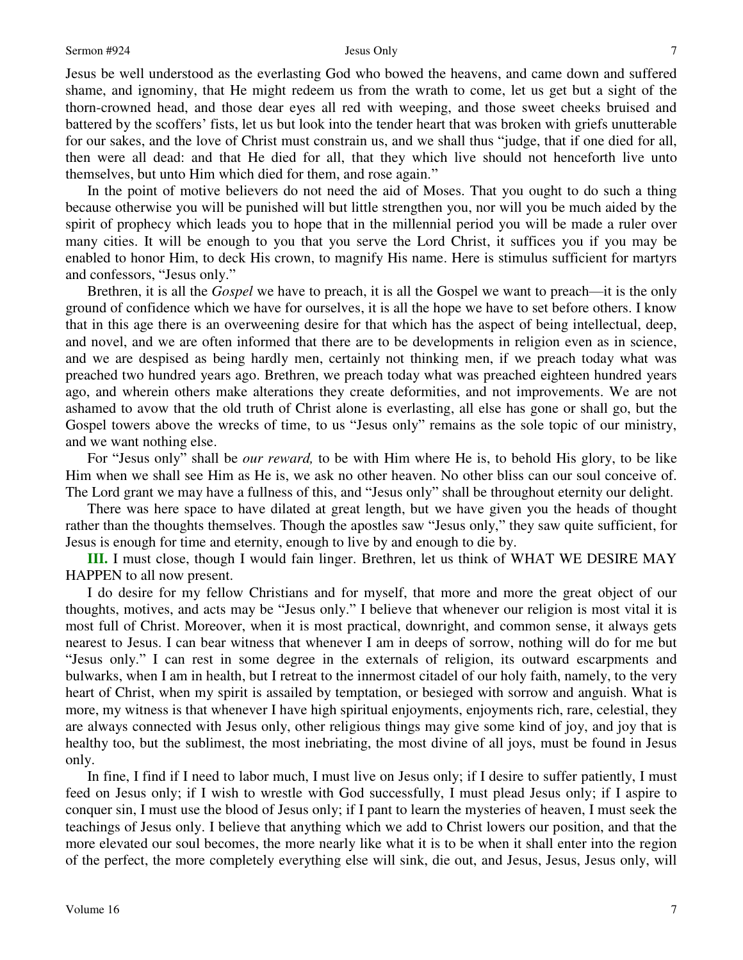Jesus be well understood as the everlasting God who bowed the heavens, and came down and suffered shame, and ignominy, that He might redeem us from the wrath to come, let us get but a sight of the thorn-crowned head, and those dear eyes all red with weeping, and those sweet cheeks bruised and battered by the scoffers' fists, let us but look into the tender heart that was broken with griefs unutterable for our sakes, and the love of Christ must constrain us, and we shall thus "judge, that if one died for all, then were all dead: and that He died for all, that they which live should not henceforth live unto themselves, but unto Him which died for them, and rose again."

In the point of motive believers do not need the aid of Moses. That you ought to do such a thing because otherwise you will be punished will but little strengthen you, nor will you be much aided by the spirit of prophecy which leads you to hope that in the millennial period you will be made a ruler over many cities. It will be enough to you that you serve the Lord Christ, it suffices you if you may be enabled to honor Him, to deck His crown, to magnify His name. Here is stimulus sufficient for martyrs and confessors, "Jesus only."

Brethren, it is all the *Gospel* we have to preach, it is all the Gospel we want to preach—it is the only ground of confidence which we have for ourselves, it is all the hope we have to set before others. I know that in this age there is an overweening desire for that which has the aspect of being intellectual, deep, and novel, and we are often informed that there are to be developments in religion even as in science, and we are despised as being hardly men, certainly not thinking men, if we preach today what was preached two hundred years ago. Brethren, we preach today what was preached eighteen hundred years ago, and wherein others make alterations they create deformities, and not improvements. We are not ashamed to avow that the old truth of Christ alone is everlasting, all else has gone or shall go, but the Gospel towers above the wrecks of time, to us "Jesus only" remains as the sole topic of our ministry, and we want nothing else.

For "Jesus only" shall be *our reward,* to be with Him where He is, to behold His glory, to be like Him when we shall see Him as He is, we ask no other heaven. No other bliss can our soul conceive of. The Lord grant we may have a fullness of this, and "Jesus only" shall be throughout eternity our delight.

There was here space to have dilated at great length, but we have given you the heads of thought rather than the thoughts themselves. Though the apostles saw "Jesus only," they saw quite sufficient, for Jesus is enough for time and eternity, enough to live by and enough to die by.

**III.** I must close, though I would fain linger. Brethren, let us think of WHAT WE DESIRE MAY HAPPEN to all now present.

I do desire for my fellow Christians and for myself, that more and more the great object of our thoughts, motives, and acts may be "Jesus only." I believe that whenever our religion is most vital it is most full of Christ. Moreover, when it is most practical, downright, and common sense, it always gets nearest to Jesus. I can bear witness that whenever I am in deeps of sorrow, nothing will do for me but "Jesus only." I can rest in some degree in the externals of religion, its outward escarpments and bulwarks, when I am in health, but I retreat to the innermost citadel of our holy faith, namely, to the very heart of Christ, when my spirit is assailed by temptation, or besieged with sorrow and anguish. What is more, my witness is that whenever I have high spiritual enjoyments, enjoyments rich, rare, celestial, they are always connected with Jesus only, other religious things may give some kind of joy, and joy that is healthy too, but the sublimest, the most inebriating, the most divine of all joys, must be found in Jesus only.

In fine, I find if I need to labor much, I must live on Jesus only; if I desire to suffer patiently, I must feed on Jesus only; if I wish to wrestle with God successfully, I must plead Jesus only; if I aspire to conquer sin, I must use the blood of Jesus only; if I pant to learn the mysteries of heaven, I must seek the teachings of Jesus only. I believe that anything which we add to Christ lowers our position, and that the more elevated our soul becomes, the more nearly like what it is to be when it shall enter into the region of the perfect, the more completely everything else will sink, die out, and Jesus, Jesus, Jesus only, will